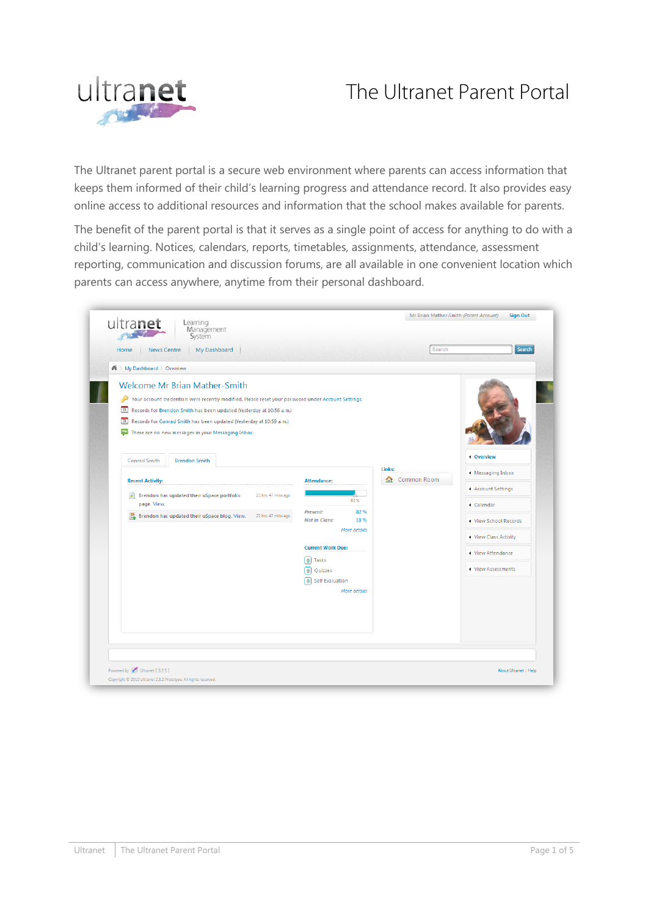# The Ultranet Parent Portal



The Ultranet parent portal is a secure web environment where parents can access information that keeps them informed of their child's learning progress and attendance record. It also provides easy online access to additional resources and information that the school makes available for parents.

The benefit of the parent portal is that it serves as a single point of access for anything to do with a child's learning. Notices, calendars, reports, timetables, assignments, attendance, assessment reporting, communication and discussion forums, are all available in one convenient location which parents can access anywhere, anytime from their personal dashboard.

| Management<br>System                                                                                                                                                                                                                                                                                                                                                                                                |                                                                                                                                                                                             |                  |                                                                                                                                                    |
|---------------------------------------------------------------------------------------------------------------------------------------------------------------------------------------------------------------------------------------------------------------------------------------------------------------------------------------------------------------------------------------------------------------------|---------------------------------------------------------------------------------------------------------------------------------------------------------------------------------------------|------------------|----------------------------------------------------------------------------------------------------------------------------------------------------|
| My Dashboard<br><b>News Centre</b><br>Home                                                                                                                                                                                                                                                                                                                                                                          |                                                                                                                                                                                             | Search           | Search                                                                                                                                             |
| $\bigwedge$ > My Dashboard > Overview                                                                                                                                                                                                                                                                                                                                                                               |                                                                                                                                                                                             |                  |                                                                                                                                                    |
| <b>Welcome Mr Brian Mather-Smith</b><br>Your account credentials were recently modified. Please reset your password under Account Settings.<br>[31] Records for Brendon Smith has been updated (Yesterday at 10:56 a.m.)<br>[31] Records for Conrad Smith has been updated (Yesterday at 10:59 a.m.)<br>$\alpha_{12}$<br>There are no new messages in your Messaging Inbox.<br>Conrad Smith<br><b>Brendon Smith</b> |                                                                                                                                                                                             | Links:           | <b>4 Overview</b>                                                                                                                                  |
| <b>Recent Activity:</b><br>Brendon has updated their uSpace portfolio<br>罰<br>21 hrs, 47 mins ago<br>page. View.<br>Brendon has updated their uSpace blog. View.<br>21 hrs, 47 mins ago                                                                                                                                                                                                                             | <b>Attendance:</b><br>82%<br><b>Present:</b><br>82%<br><b>Not in Class:</b><br>18%<br>More details<br><b>Current Work Due:</b><br>0 Tasks<br>0 Quizzes<br>0 Self Evaluation<br>More details | Common Room<br>金 | ◀ Messaging Inbox<br>◀ Account Settings<br>◀ Calendar<br>◀ View School Records<br>◀ View Class Activity<br>◀ View Attendance<br>◀ View Assessments |
|                                                                                                                                                                                                                                                                                                                                                                                                                     |                                                                                                                                                                                             |                  |                                                                                                                                                    |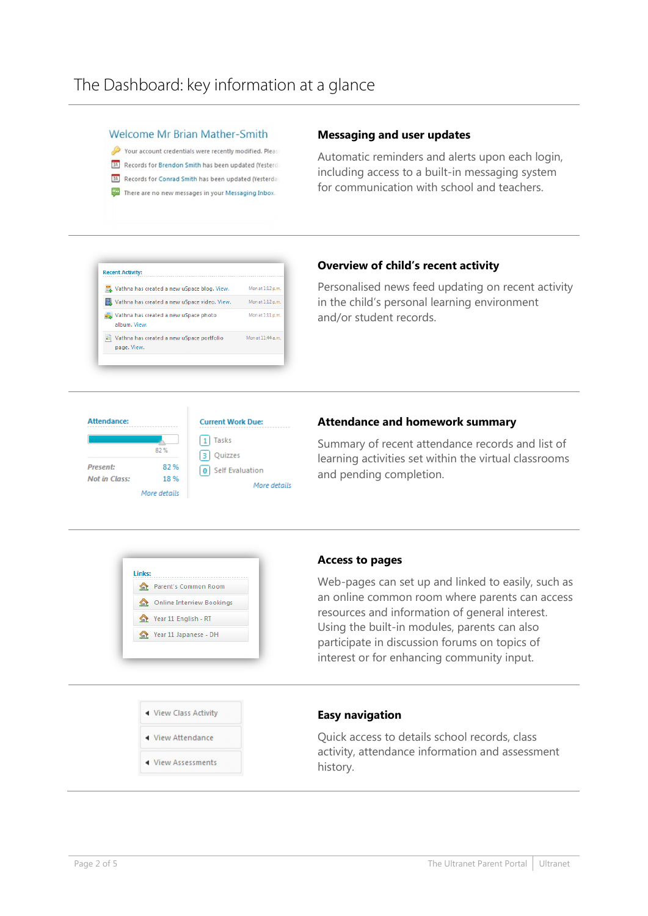#### **Welcome Mr Brian Mather-Smith**

Your account credentials were recently modified. Please [31] Records for Brendon Smith has been updated (Yesterd) [31] Records for Conrad Smith has been updated (Yesterda) There are no new messages in your Messaging Inbox.

#### **Messaging and user updates**

Automatic reminders and alerts upon each login, including access to a built-in messaging system for communication with school and teachers.

#### **Recent Activity:** Mon at 1:12 p.m. Vathna has created a new uSpace blog. View. Vathna has created a new uSpace video. View. Mon at 1:12 p.m. Vathna has created a new uSpace photo Mon at 1:11 p.m. album. View Vathna has created a new uSpace portfolio Mon at 11:44 a.m. page. View

### **Overview of child's recent activity**

Personalised news feed updating on recent activity in the child's personal learning environment and/or student records.



### **Attendance and homework summary**

Summary of recent attendance records and list of learning activities set within the virtual classrooms and pending completion.



#### **Access to pages**

Web-pages can set up and linked to easily, such as an online common room where parents can access resources and information of general interest. Using the built-in modules, parents can also participate in discussion forums on topics of interest or for enhancing community input.



#### ◀ View Assessments

#### **Easy navigation**

Quick access to details school records, class activity, attendance information and assessment history.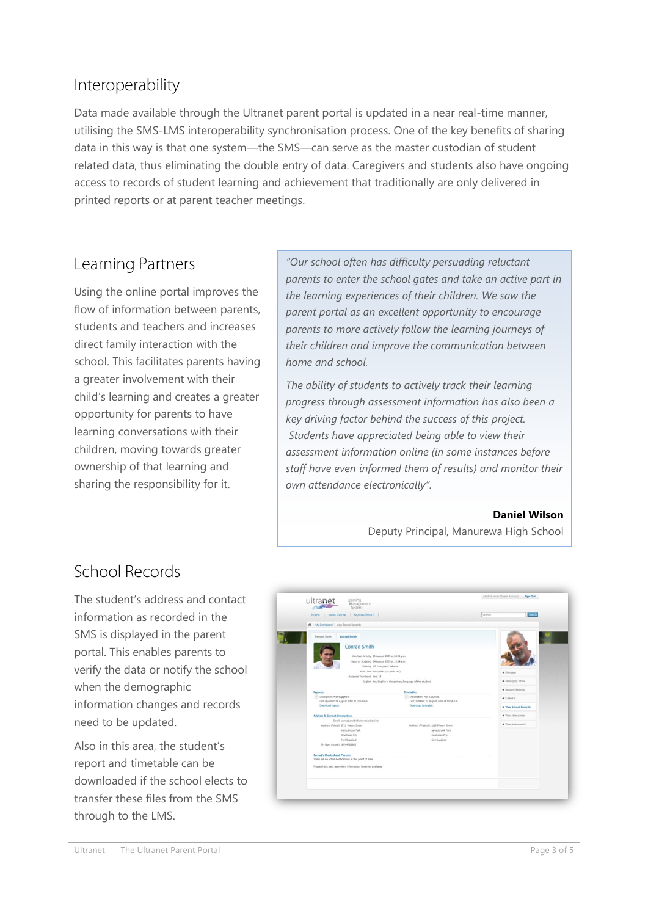### Interoperability

Data made available through the Ultranet parent portal is updated in a near real-time manner, utilising the SMS-LMS interoperability synchronisation process. One of the key benefits of sharing data in this way is that one system—the SMS—can serve as the master custodian of student related data, thus eliminating the double entry of data. Caregivers and students also have ongoing access to records of student learning and achievement that traditionally are only delivered in printed reports or at parent teacher meetings.

### Learning Partners

Using the online portal improves the flow of information between parents, students and teachers and increases direct family interaction with the school. This facilitates parents having a greater involvement with their child's learning and creates a greater opportunity for parents to have learning conversations with their children, moving towards greater ownership of that learning and sharing the responsibility for it.

*"Our school often has difficulty persuading reluctant parents to enter the school gates and take an active part in the learning experiences of their children. We saw the parent portal as an excellent opportunity to encourage parents to more actively follow the learning journeys of their children and improve the communication between home and school.* 

*The ability of students to actively track their learning progress through assessment information has also been a key driving factor behind the success of this project. Students have appreciated being able to view their assessment information online (in some instances before staff have even informed them of results) and monitor their own attendance electronically".*

**Daniel Wilson**

Deputy Principal, Manurewa High School

### School Records

The student's address and contact information as recorded in the SMS is displayed in the parent portal. This enables parents to verify the data or notify the school when the demographic information changes and records need to be updated.

Also in this area, the student's report and timetable can be downloaded if the school elects to transfer these files from the SMS through to the LMS.

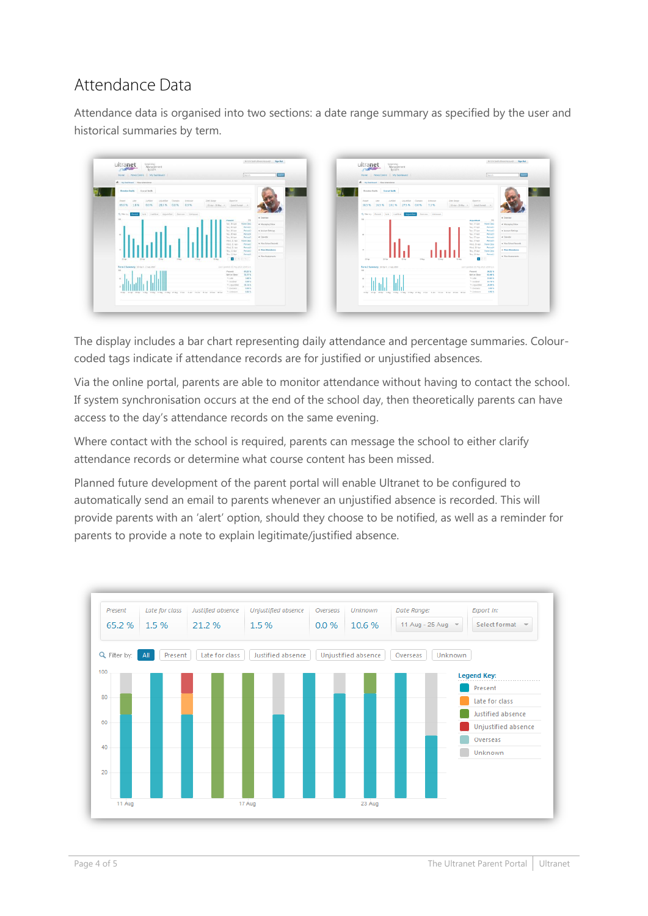## Attendance Data

Attendance data is organised into two sections: a date range summary as specified by the user and historical summaries by term.



The display includes a bar chart representing daily attendance and percentage summaries. Colourcoded tags indicate if attendance records are for justified or unjustified absences.

Via the online portal, parents are able to monitor attendance without having to contact the school. If system synchronisation occurs at the end of the school day, then theoretically parents can have access to the day's attendance records on the same evening.

Where contact with the school is required, parents can message the school to either clarify attendance records or determine what course content has been missed.

Planned future development of the parent portal will enable Ultranet to be configured to automatically send an email to parents whenever an unjustified absence is recorded. This will provide parents with an 'alert' option, should they choose to be notified, as well as a reminder for parents to provide a note to explain legitimate/justified absence.